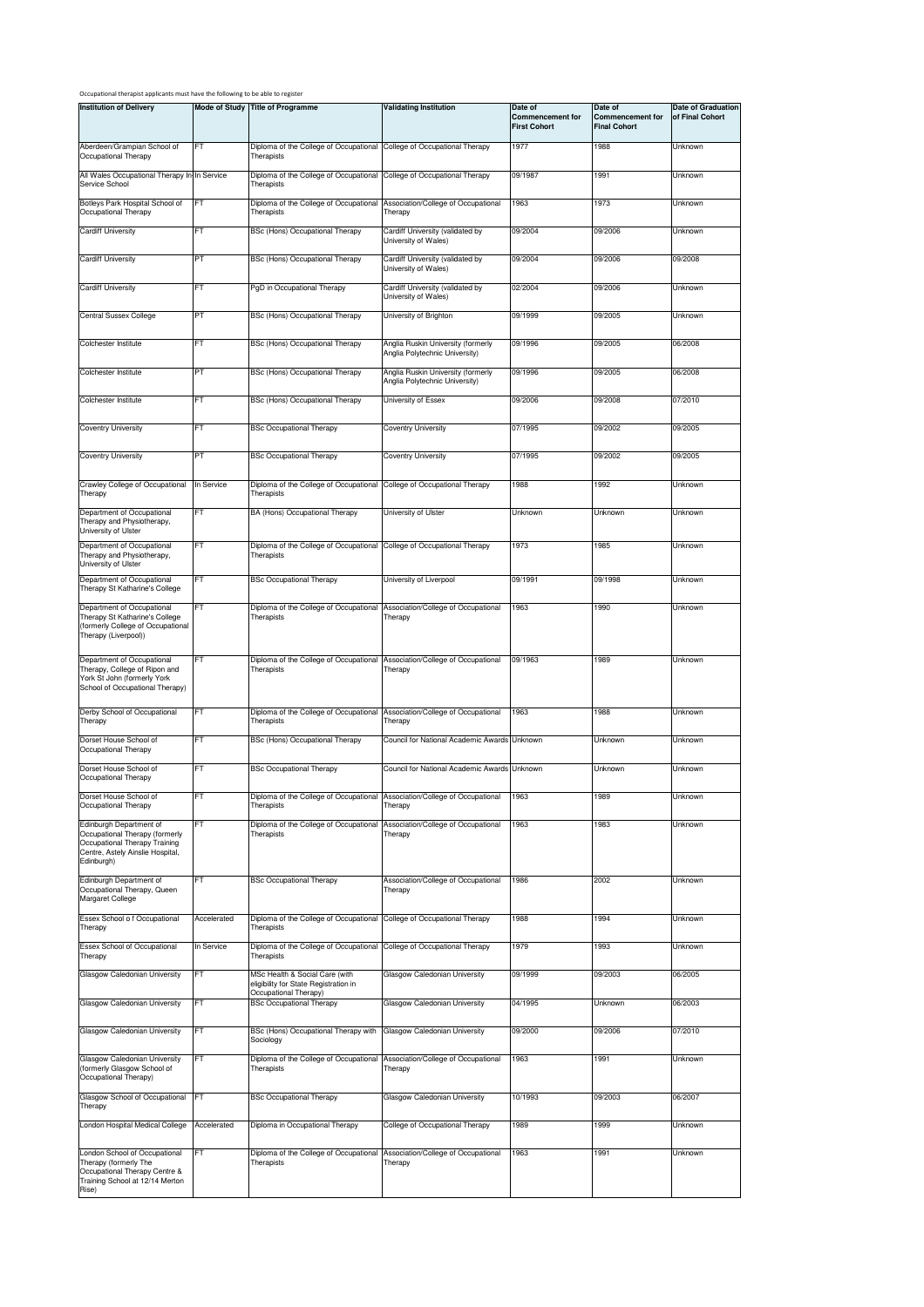| Occupational therapist applicants must have the following to be able to register |  |
|----------------------------------------------------------------------------------|--|
|----------------------------------------------------------------------------------|--|

| וכמות ווועאנות                                                                                                                               |             |                                                                                                  |                                                                      |                                                           |                                                           |                                       |
|----------------------------------------------------------------------------------------------------------------------------------------------|-------------|--------------------------------------------------------------------------------------------------|----------------------------------------------------------------------|-----------------------------------------------------------|-----------------------------------------------------------|---------------------------------------|
| <b>Institution of Delivery</b>                                                                                                               |             | Mode of Study Title of Programme                                                                 | <b>Validating Institution</b>                                        | Date of<br><b>Commencement for</b><br><b>First Cohort</b> | Date of<br><b>Commencement for</b><br><b>Final Cohort</b> | Date of Graduation<br>of Final Cohort |
| Aberdeen/Grampian School of<br>Occupational Therapy                                                                                          | FT          | Diploma of the College of Occupational College of Occupational Therapy<br>Therapists             |                                                                      | 1977                                                      | 1988                                                      | Unknown                               |
| All Wales Occupational Therapy In-In Service<br>Service School                                                                               |             | Diploma of the College of Occupational<br>Therapists                                             | College of Occupational Therapy                                      | 09/1987                                                   | 1991                                                      | Unknown                               |
| Botleys Park Hospital School of<br>Occupational Therapy                                                                                      | FT          | Diploma of the College of Occupational<br>Therapists                                             | Association/College of Occupational<br>Therapy                       | 1963                                                      | 1973                                                      | Unknown                               |
| Cardiff University                                                                                                                           | FT          | BSc (Hons) Occupational Therapy                                                                  | Cardiff University (validated by<br>University of Wales)             | 09/2004                                                   | 09/2006                                                   | Unknown                               |
| <b>Cardiff University</b>                                                                                                                    | PT          | BSc (Hons) Occupational Therapy                                                                  | Cardiff University (validated by<br>University of Wales)             | 09/2004                                                   | 09/2006                                                   | 09/2008                               |
| <b>Cardiff University</b>                                                                                                                    | FT          | PgD in Occupational Therapy                                                                      | Cardiff University (validated by<br>University of Wales)             | 02/2004                                                   | 09/2006                                                   | Unknown                               |
| <b>Central Sussex College</b>                                                                                                                | PT          | BSc (Hons) Occupational Therapy                                                                  | University of Brighton                                               | 09/1999                                                   | 09/2005                                                   | Unknown                               |
| Colchester Institute                                                                                                                         | FT          | BSc (Hons) Occupational Therapy                                                                  | Anglia Ruskin University (formerly<br>Anglia Polytechnic University) | 09/1996                                                   | 09/2005                                                   | 06/2008                               |
| Colchester Institute                                                                                                                         | PT          | BSc (Hons) Occupational Therapy                                                                  | Anglia Ruskin University (formerly<br>Anglia Polytechnic University) | 09/1996                                                   | 09/2005                                                   | 06/2008                               |
| Colchester Institute                                                                                                                         | FT          | BSc (Hons) Occupational Therapy                                                                  | University of Essex                                                  | 09/2006                                                   | 09/2008                                                   | 07/2010                               |
| Coventry University                                                                                                                          | FT          | <b>BSc Occupational Therapy</b>                                                                  | Coventry University                                                  | 07/1995                                                   | 09/2002                                                   | 09/2005                               |
| Coventry University                                                                                                                          | PT          | <b>BSc Occupational Therapy</b>                                                                  | Coventry University                                                  | 07/1995                                                   | 09/2002                                                   | 09/2005                               |
| Crawley College of Occupational<br>Therapy                                                                                                   | In Service  | Diploma of the College of Occupational College of Occupational Therapy<br>Therapists             |                                                                      | 1988                                                      | 1992                                                      | Unknown                               |
| Department of Occupational<br>Therapy and Physiotherapy,<br>University of Ulster                                                             | FT          | BA (Hons) Occupational Therapy                                                                   | University of Ulster                                                 | Unknown                                                   | Unknown                                                   | Unknown                               |
| Department of Occupational<br>Therapy and Physiotherapy,<br>University of Ulster                                                             | FT          | Diploma of the College of Occupational<br>Therapists                                             | College of Occupational Therapy                                      | 1973                                                      | 1985                                                      | Unknown                               |
| Department of Occupational<br>Therapy St Katharine's College                                                                                 | FT          | <b>BSc Occupational Therapy</b>                                                                  | University of Liverpool                                              | 09/1991                                                   | 09/1998                                                   | Unknown                               |
| Department of Occupational                                                                                                                   | FT          | Diploma of the College of Occupational                                                           | Association/College of Occupational                                  | 1963                                                      | 1990                                                      | Unknown                               |
| Therapy St Katharine's College<br>(formerly College of Occupational<br>Therapy (Liverpool))                                                  |             | Therapists                                                                                       | Therapy                                                              |                                                           |                                                           |                                       |
| Department of Occupational<br>Therapy, College of Ripon and<br>York St John (formerly York<br>School of Occupational Therapy)                | <b>FT</b>   | Diploma of the College of Occupational<br>Therapists                                             | Association/College of Occupational<br>Therapy                       | 09/1963                                                   | 1989                                                      | Unknown                               |
| Derby School of Occupational<br>Therapy                                                                                                      | FT          | Diploma of the College of Occupational<br>Therapists                                             | Association/College of Occupational<br>Therapy                       | 1963                                                      | 1988                                                      | Unknown                               |
| Dorset House School of<br>Occupational Therapy                                                                                               | FT          | BSc (Hons) Occupational Therapy                                                                  | Council for National Academic Awards Unknown                         |                                                           | Unknown                                                   | Unknown                               |
| Dorset House School of<br>Occupational Therapy                                                                                               | FT          | <b>BSc Occupational Therapy</b>                                                                  | Council for National Academic Awards Unknown                         |                                                           | Unknown                                                   | Unknown                               |
| Dorset House School of<br>Occupational Therapy                                                                                               | FT          | Diploma of the College of Occupational<br>Therapists                                             | Association/College of Occupational<br>Therapy                       | 1963                                                      | 1989                                                      | Unknown                               |
| Edinburgh Department of<br>Occupational Therapy (formerly<br>Occupational Therapy Training<br>Centre, Astely Ainslie Hospital,<br>Edinburgh) | FT          | Diploma of the College of Occupational<br>Therapists                                             | Association/College of Occupational<br>Therapy                       | 1963                                                      | 1983                                                      | Unknown                               |
| Edinburgh Department of<br>Occupational Therapy, Queen<br>Margaret College                                                                   | FT          | <b>BSc Occupational Therapy</b>                                                                  | Association/College of Occupational<br>Therapy                       | 1986                                                      | 2002                                                      | Unknown                               |
| Essex School o f Occupational<br>Therapy                                                                                                     | Accelerated | Diploma of the College of Occupational<br>Therapists                                             | College of Occupational Therapy                                      | 1988                                                      | 1994                                                      | Unknown                               |
| Essex School of Occupational<br>Therapy                                                                                                      | In Service  | Diploma of the College of Occupational<br>Therapists                                             | College of Occupational Therapy                                      | 1979                                                      | 1993                                                      | Unknown                               |
| Glasgow Caledonian University                                                                                                                | <b>FT</b>   | MSc Health & Social Care (with<br>eligibility for State Registration in<br>Occupational Therapy) | Glasgow Caledonian University                                        | 09/1999                                                   | 09/2003                                                   | 06/2005                               |
| Glasgow Caledonian University                                                                                                                | FT          | <b>BSc Occupational Therapy</b>                                                                  | Glasgow Caledonian University                                        | 04/1995                                                   | Unknown                                                   | 06/2003                               |
| Glasgow Caledonian University                                                                                                                | FT          | BSc (Hons) Occupational Therapy with<br>Sociology                                                | Glasgow Caledonian University                                        | 09/2000                                                   | 09/2006                                                   | 07/2010                               |
| Glasgow Caledonian University<br>(formerly Glasgow School of<br>Occupational Therapy)                                                        | FT          | Diploma of the College of Occupational<br>Therapists                                             | Association/College of Occupational<br>Therapy                       | 1963                                                      | 1991                                                      | Unknown                               |
| Glasgow School of Occupational<br>Therapy                                                                                                    | FT          | <b>BSc Occupational Therapy</b>                                                                  | Glasgow Caledonian University                                        | 10/1993                                                   | 09/2003                                                   | 06/2007                               |
| London Hospital Medical College                                                                                                              | Accelerated | Diploma in Occupational Therapy                                                                  | College of Occupational Therapy                                      | 1989                                                      | 1999                                                      | Unknown                               |
| London School of Occupational<br>Therapy (formerly The<br>Occupational Therapy Centre &<br>Training School at 12/14 Merton<br>Rise)          | <b>FT</b>   | Diploma of the College of Occupational<br>Therapists                                             | Association/College of Occupational<br>Therapy                       | 1963                                                      | 1991                                                      | Unknown                               |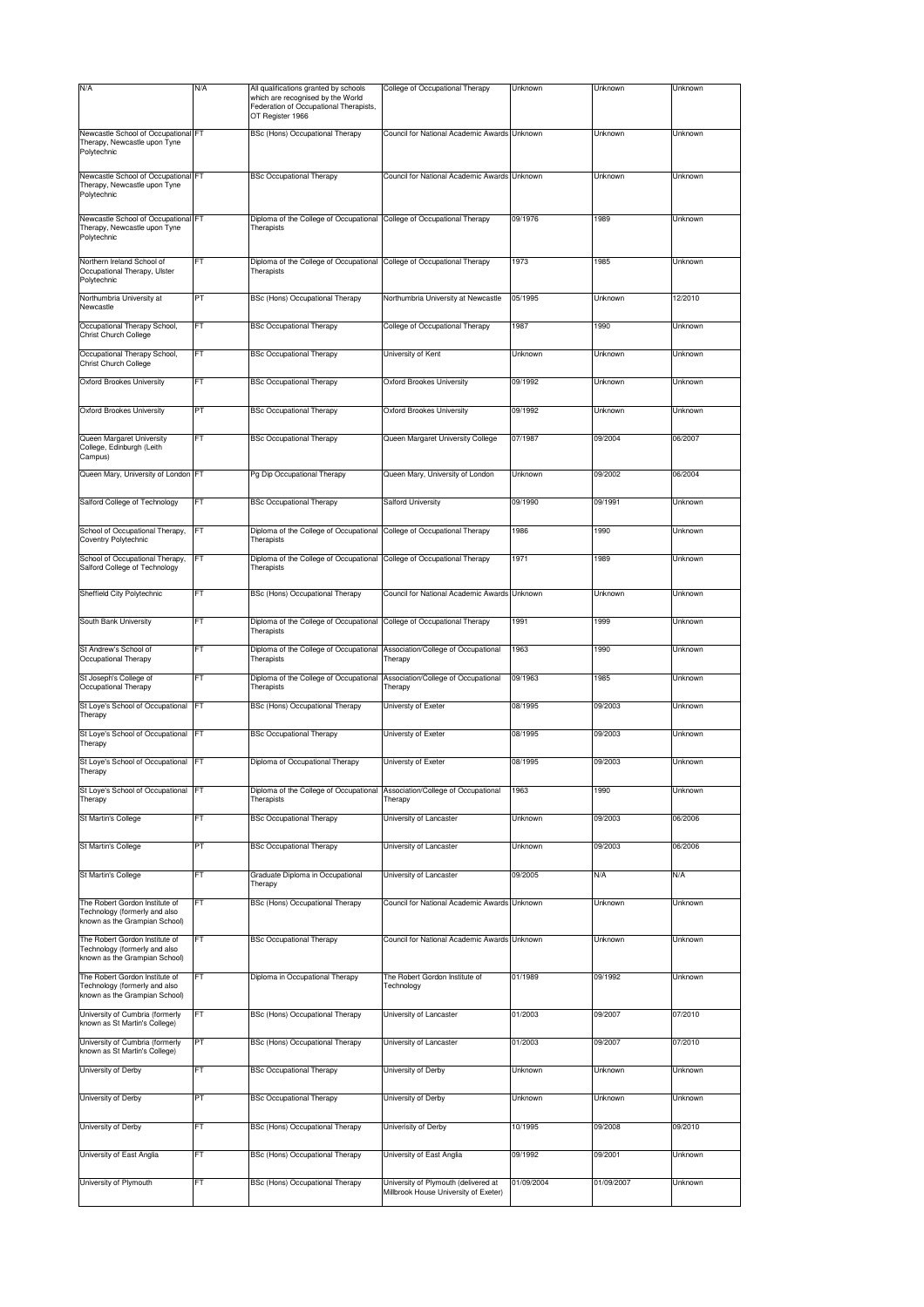| N/A                                                                                              | N/A       | All qualifications granted by schools<br>which are recognised by the World<br>Federation of Occupational Therapists,<br>OT Register 1966 | College of Occupational Therapy                | Unknown    | Unknown    | Unknown |
|--------------------------------------------------------------------------------------------------|-----------|------------------------------------------------------------------------------------------------------------------------------------------|------------------------------------------------|------------|------------|---------|
| Newcastle School of Occupational FT<br>Therapy, Newcastle upon Tyne<br>Polytechnic               |           | <b>BSc (Hons) Occupational Therapy</b>                                                                                                   | Council for National Academic Awards Unknown   |            | Unknown    | Unknown |
| Newcastle School of Occupational FT<br>Therapy, Newcastle upon Tyne<br>Polytechnic               |           | <b>BSc Occupational Therapy</b>                                                                                                          | Council for National Academic Awards Unknown   |            | Unknown    | Unknown |
| Newcastle School of Occupational FT<br>Therapy, Newcastle upon Tyne<br>Polytechnic               |           | Diploma of the College of Occupational<br>Therapists                                                                                     | College of Occupational Therapy                | 09/1976    | 1989       | Unknown |
| Northern Ireland School of                                                                       | FT        | Diploma of the College of Occupational College of Occupational Therapy                                                                   |                                                | 1973       | 1985       | Unknown |
| Occupational Therapy, Ulster<br>Polytechnic<br>Northumbria University at                         | PT        | Therapists<br>BSc (Hons) Occupational Therapy                                                                                            | Northumbria University at Newcastle            | 05/1995    | Unknown    | 12/2010 |
| Newcastle<br>Occupational Therapy School,                                                        | FT        | <b>BSc Occupational Therapy</b>                                                                                                          | College of Occupational Therapy                | 1987       | 1990       | Unknown |
| Christ Church College<br>Occupational Therapy School,                                            | FT        | <b>BSc Occupational Therapy</b>                                                                                                          | University of Kent                             | Unknown    | Unknown    | Unknown |
| Christ Church College                                                                            |           |                                                                                                                                          |                                                |            |            |         |
| Oxford Brookes University                                                                        | FT        | <b>BSc Occupational Therapy</b>                                                                                                          | Oxford Brookes University                      | 09/1992    | Unknown    | Unknown |
| Oxford Brookes University                                                                        | PТ        | <b>BSc Occupational Therapy</b>                                                                                                          | Oxford Brookes University                      | 09/1992    | Unknown    | Unknown |
| Queen Margaret University<br>College, Edinburgh (Leith<br>Campus)                                | FT        | <b>BSc Occupational Therapy</b>                                                                                                          | Queen Margaret University College              | 07/1987    | 09/2004    | 06/2007 |
| Queen Mary, University of London FT                                                              |           | Pg Dip Occupational Therapy                                                                                                              | Queen Mary, University of London               | Unknown    | 09/2002    | 06/2004 |
| Salford College of Technology                                                                    | FT        | <b>BSc Occupational Therapy</b>                                                                                                          | <b>Salford University</b>                      | 09/1990    | 09/1991    | Unknown |
| School of Occupational Therapy,<br>Coventry Polytechnic                                          | ٠т        | Diploma of the College of Occupational<br>Therapists                                                                                     | College of Occupational Therapy                | 1986       | 1990       | Unknown |
| School of Occupational Therapy,<br>Salford College of Technology                                 | FT        | Diploma of the College of Occupational<br>Therapists                                                                                     | College of Occupational Therapy                | 1971       | 1989       | Unknown |
| Sheffield City Polytechnic                                                                       | FT        | BSc (Hons) Occupational Therapy                                                                                                          | Council for National Academic Awards Unknown   |            | Unknown    | Unknown |
| South Bank University                                                                            | FT        | Diploma of the College of Occupational<br>Therapists                                                                                     | College of Occupational Therapy                | 1991       | 1999       | Unknown |
| St Andrew's School of<br>Occupational Therapy                                                    | FT        | Diploma of the College of Occupational<br>Therapists                                                                                     | Association/College of Occupational<br>Therapy | 1963       | 1990       | Unknown |
| St Joseph's College of<br>Occupational Therapy                                                   | FT        | Diploma of the College of Occupational<br>Therapists                                                                                     | Association/College of Occupational<br>Therapy | 09/1963    | 1985       | Unknown |
| St Loye's School of Occupational FT<br>Therapy                                                   |           | BSc (Hons) Occupational Therapy                                                                                                          | Universty of Exeter                            | 08/1995    | 09/2003    | Unknown |
| St Loye's School of Occupational FT<br>Therapy                                                   |           | <b>BSc Occupational Therapy</b>                                                                                                          | Universty of Exeter                            | 08/1995    | 09/2003    | Unknown |
| St Loye's School of Occupational<br>Therapy                                                      | <b>FT</b> | Diploma of Occupational Therapy                                                                                                          | Universty of Exeter                            | 08/1995    | 09/2003    | Unknown |
| St Loye's School of Occupational<br>Therapy                                                      | FT        | Diploma of the College of Occupational<br>Therapists                                                                                     | Association/College of Occupational<br>Therapy | 1963       | 1990       | Unknown |
| St Martin's College                                                                              | FT        | <b>BSc Occupational Therapy</b>                                                                                                          | University of Lancaster                        | Unknown    | 09/2003    | 06/2006 |
| St Martin's College                                                                              | PT        | <b>BSc Occupational Therapy</b>                                                                                                          | University of Lancaster                        | Unknown    | 09/2003    | 06/2006 |
| St Martin's College                                                                              | FT        | Graduate Diploma in Occupational<br>Therapy                                                                                              | University of Lancaster                        | 09/2005    | N/A        | N/A     |
| The Robert Gordon Institute of<br>Technology (formerly and also<br>known as the Grampian School) | -T        | BSc (Hons) Occupational Therapy                                                                                                          | Council for National Academic Awards Unknown   |            | Unknown    | Unknown |
| The Robert Gordon Institute of<br>Technology (formerly and also<br>known as the Grampian School) | FТ        | <b>BSc Occupational Therapy</b>                                                                                                          | Council for National Academic Awards Unknown   |            | Unknown    | Unknown |
| The Robert Gordon Institute of<br>Technology (formerly and also<br>known as the Grampian School) | FТ        | Diploma in Occupational Therapy                                                                                                          | The Robert Gordon Institute of<br>Technology   | 01/1989    | 09/1992    | Unknown |
| University of Cumbria (formerly<br>known as St Martin's College)                                 | FT        | BSc (Hons) Occupational Therapy                                                                                                          | University of Lancaster                        | 01/2003    | 09/2007    | 07/2010 |
| University of Cumbria (formerly<br>known as St Martin's College)                                 | PT        | BSc (Hons) Occupational Therapy                                                                                                          | University of Lancaster                        | 01/2003    | 09/2007    | 07/2010 |
| University of Derby                                                                              | FT        | <b>BSc Occupational Therapy</b>                                                                                                          | University of Derby                            | Unknown    | Unknown    | Unknown |
| University of Derby                                                                              | PT        | <b>BSc Occupational Therapy</b>                                                                                                          | University of Derby                            | Unknown    | Unknown    | Unknown |
| University of Derby                                                                              | FT        | BSc (Hons) Occupational Therapy                                                                                                          | Univerisity of Derby                           | 10/1995    | 09/2008    | 09/2010 |
| University of East Anglia                                                                        | FT        | BSc (Hons) Occupational Therapy                                                                                                          | University of East Anglia                      | 09/1992    | 09/2001    | Unknown |
| University of Plymouth                                                                           | FT        | BSc (Hons) Occupational Therapy                                                                                                          | University of Plymouth (delivered at           | 01/09/2004 | 01/09/2007 | Unknown |
|                                                                                                  |           |                                                                                                                                          | Millbrook House University of Exeter)          |            |            |         |